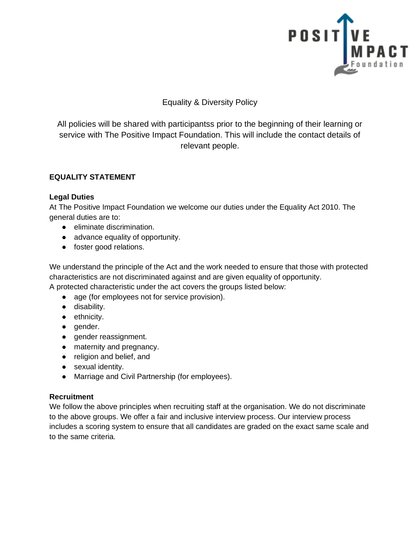

# Equality & Diversity Policy

All policies will be shared with participantss prior to the beginning of their learning or service with The Positive Impact Foundation. This will include the contact details of relevant people.

## **EQUALITY STATEMENT**

### **Legal Duties**

At The Positive Impact Foundation we welcome our duties under the Equality Act 2010. The general duties are to:

- eliminate discrimination.
- advance equality of opportunity.
- foster good relations.

We understand the principle of the Act and the work needed to ensure that those with protected characteristics are not discriminated against and are given equality of opportunity.

A protected characteristic under the act covers the groups listed below:

- age (for employees not for service provision).
- disability.
- ethnicity.
- gender.
- gender reassignment.
- maternity and pregnancy.
- religion and belief, and
- sexual identity.
- Marriage and Civil Partnership (for employees).

### **Recruitment**

We follow the above principles when recruiting staff at the organisation. We do not discriminate to the above groups. We offer a fair and inclusive interview process. Our interview process includes a scoring system to ensure that all candidates are graded on the exact same scale and to the same criteria.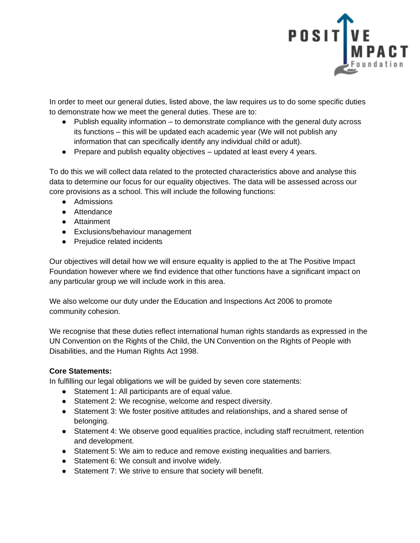

In order to meet our general duties, listed above, the law requires us to do some specific duties to demonstrate how we meet the general duties. These are to:

- Publish equality information to demonstrate compliance with the general duty across its functions – this will be updated each academic year (We will not publish any information that can specifically identify any individual child or adult).
- Prepare and publish equality objectives updated at least every 4 years.

To do this we will collect data related to the protected characteristics above and analyse this data to determine our focus for our equality objectives. The data will be assessed across our core provisions as a school. This will include the following functions:

- Admissions
- Attendance
- Attainment
- Exclusions/behaviour management
- Prejudice related incidents

Our objectives will detail how we will ensure equality is applied to the at The Positive Impact Foundation however where we find evidence that other functions have a significant impact on any particular group we will include work in this area.

We also welcome our duty under the Education and Inspections Act 2006 to promote community cohesion.

We recognise that these duties reflect international human rights standards as expressed in the UN Convention on the Rights of the Child, the UN Convention on the Rights of People with Disabilities, and the Human Rights Act 1998.

### **Core Statements:**

In fulfilling our legal obligations we will be guided by seven core statements:

- Statement 1: All participants are of equal value.
- Statement 2: We recognise, welcome and respect diversity.
- Statement 3: We foster positive attitudes and relationships, and a shared sense of belonging.
- Statement 4: We observe good equalities practice, including staff recruitment, retention and development.
- Statement 5: We aim to reduce and remove existing inequalities and barriers.
- Statement 6: We consult and involve widely.
- Statement 7: We strive to ensure that society will benefit.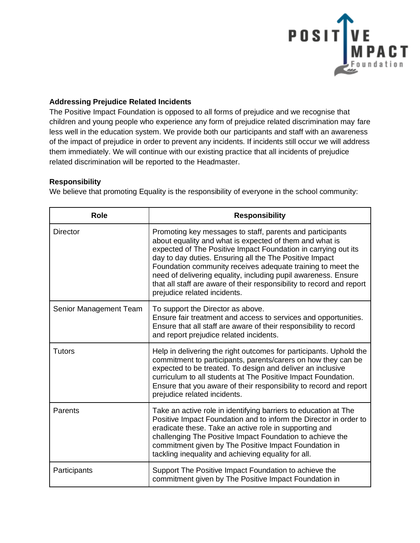

#### **Addressing Prejudice Related Incidents**

The Positive Impact Foundation is opposed to all forms of prejudice and we recognise that children and young people who experience any form of prejudice related discrimination may fare less well in the education system. We provide both our participants and staff with an awareness of the impact of prejudice in order to prevent any incidents. If incidents still occur we will address them immediately. We will continue with our existing practice that all incidents of prejudice related discrimination will be reported to the Headmaster.

#### **Responsibility**

We believe that promoting Equality is the responsibility of everyone in the school community:

| <b>Role</b>            | <b>Responsibility</b>                                                                                                                                                                                                                                                                                                                                                                                                                                                                       |
|------------------------|---------------------------------------------------------------------------------------------------------------------------------------------------------------------------------------------------------------------------------------------------------------------------------------------------------------------------------------------------------------------------------------------------------------------------------------------------------------------------------------------|
| <b>Director</b>        | Promoting key messages to staff, parents and participants<br>about equality and what is expected of them and what is<br>expected of The Positive Impact Foundation in carrying out its<br>day to day duties. Ensuring all the The Positive Impact<br>Foundation community receives adequate training to meet the<br>need of delivering equality, including pupil awareness. Ensure<br>that all staff are aware of their responsibility to record and report<br>prejudice related incidents. |
| Senior Management Team | To support the Director as above.<br>Ensure fair treatment and access to services and opportunities.<br>Ensure that all staff are aware of their responsibility to record<br>and report prejudice related incidents.                                                                                                                                                                                                                                                                        |
| <b>Tutors</b>          | Help in delivering the right outcomes for participants. Uphold the<br>commitment to participants, parents/carers on how they can be<br>expected to be treated. To design and deliver an inclusive<br>curriculum to all students at The Positive Impact Foundation.<br>Ensure that you aware of their responsibility to record and report<br>prejudice related incidents.                                                                                                                    |
| Parents                | Take an active role in identifying barriers to education at The<br>Positive Impact Foundation and to inform the Director in order to<br>eradicate these. Take an active role in supporting and<br>challenging The Positive Impact Foundation to achieve the<br>commitment given by The Positive Impact Foundation in<br>tackling inequality and achieving equality for all.                                                                                                                 |
| Participants           | Support The Positive Impact Foundation to achieve the<br>commitment given by The Positive Impact Foundation in                                                                                                                                                                                                                                                                                                                                                                              |